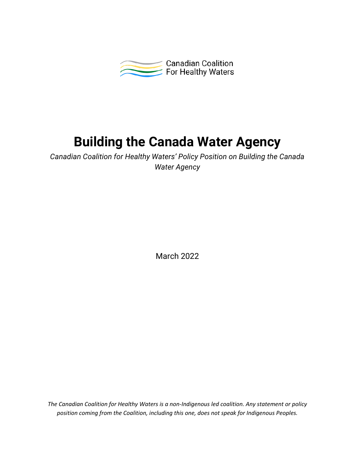

# **Building the Canada Water Agency**

*Canadian Coalition for Healthy Waters' Policy Position on Building the Canada Water Agency*

March 2022

*The Canadian Coalition for Healthy Waters is a non-Indigenous led coalition. Any statement or policy position coming from the Coalition, including this one, does not speak for Indigenous Peoples.*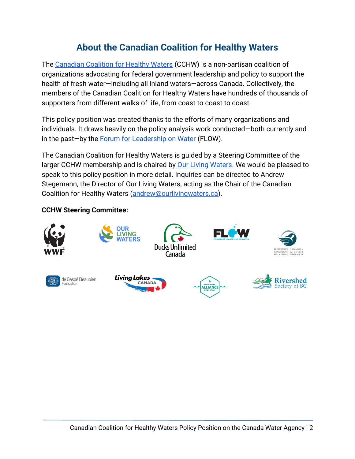# **About the Canadian Coalition for Healthy Waters**

The [Canadian Coalition for Healthy Waters](https://healthywaterscoalition.ca/) (CCHW) is a non-partisan coalition of organizations advocating for federal government leadership and policy to support the health of fresh water—including all inland waters—across Canada. Collectively, the members of the Canadian Coalition for Healthy Waters have hundreds of thousands of supporters from different walks of life, from coast to coast to coast.

This policy position was created thanks to the efforts of many organizations and individuals. It draws heavily on the policy analysis work conducted—both currently and in the past—by the [Forum for Leadership on Water](https://www.flowcanada.org/our-work) (FLOW).

The Canadian Coalition for Healthy Waters is guided by a Steering Committee of the larger CCHW membership and is chaired b[y](https://www.ourlivingwaters.ca/) **Our Living Waters**. We would be pleased to speak to this policy position in more detail. Inquiries can be directed to Andrew Stegemann, the Director of Our Living Waters, acting as the Chair of the Canadian Coalition for Healthy Waters [\(andrew@ourlivingwaters.ca\)](mailto:andrew@ourlivingwaters.ca).

#### **CCHW Steering Committee:**

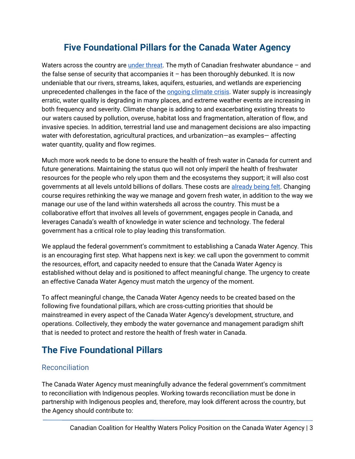# **Five Foundational Pillars for the Canada Water Agency**

Wat[e](https://wwf.ca/wp-content/uploads/2020/10/WWF-Watershed-Report-2020-FINAL-WEB.pdf)rs across the country are [under threat.](https://wwf.ca/wp-content/uploads/2020/10/WWF-Watershed-Report-2020-FINAL-WEB.pdf) The myth of Canadian freshwater abundance  $-$  and the false sense of security that accompanies it  $-$  has been thoroughly debunked. It is now undeniable that our rivers, streams, lakes, aquifers, estuaries, and wetlands are experiencing unpr[e](https://www.nrcan.gc.ca/sites/www.nrcan.gc.ca/files/energy/Climate-change/pdf/CCCR_FULLREPORT-EN-FINAL.pdf)cedented challenges in the face of the **ongoing climate crisis**. Water supply is increasingly erratic, water quality is degrading in many places, and extreme weather events are increasing in both frequency and severity. Climate change is adding to and exacerbating existing threats to our waters caused by pollution, overuse, habitat loss and fragmentation, alteration of flow, and invasive species. In addition, terrestrial land use and management decisions are also impacting water with deforestation, agricultural practices, and urbanization—as examples— affecting water quantity, quality and flow regimes.

Much more work needs to be done to ensure the health of fresh water in Canada for current and future generations. Maintaining the status quo will not only imperil the health of freshwater resources for the people who rely upon them and the ecosystems they support; it will also cost governments at all levels untold billions of dollars. These costs ar[e](https://www.pbo-dpb.gc.ca/web/default/files/Documents/Reports/2016/DFAA/DFAA_EN.pdf) [already being felt.](https://www.pbo-dpb.gc.ca/web/default/files/Documents/Reports/2016/DFAA/DFAA_EN.pdf) Changing course requires rethinking the way we manage and govern fresh water, in addition to the way we manage our use of the land within watersheds all across the country. This must be a collaborative effort that involves all levels of government, engages people in Canada, and leverages Canada's wealth of knowledge in water science and technology. The federal government has a critical role to play leading this transformation.

We applaud the federal government's commitment to establishing a Canada Water Agency. This is an encouraging first step. What happens next is key: we call upon the government to commit the resources, effort, and capacity needed to ensure that the Canada Water Agency is established without delay and is positioned to affect meaningful change. The urgency to create an effective Canada Water Agency must match the urgency of the moment.

To affect meaningful change, the Canada Water Agency needs to be created based on the following five foundational pillars, which are cross-cutting priorities that should be mainstreamed in every aspect of the Canada Water Agency's development, structure, and operations. Collectively, they embody the water governance and management paradigm shift that is needed to protect and restore the health of fresh water in Canada.

# **The Five Foundational Pillars**

#### **Reconciliation**

The Canada Water Agency must meaningfully advance the federal government's commitment to reconciliation with Indigenous peoples. Working towards reconciliation must be done in partnership with Indigenous peoples and, therefore, may look different across the country, but the Agency should contribute to: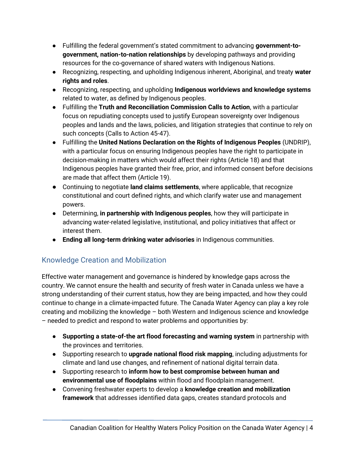- Fulfilling the federal government's stated commitment to advancing **government-togovernment, nation-to-nation relationships** by developing pathways and providing resources for the co-governance of shared waters with Indigenous Nations.
- Recognizing, respecting, and upholding Indigenous inherent, Aboriginal, and treaty **water rights and roles**.
- Recognizing, respecting, and upholding **Indigenous worldviews and knowledge systems** related to water, as defined by Indigenous peoples.
- Fulfilling the **Truth and Reconciliation Commission Calls to Action**, with a particular focus on repudiating concepts used to justify European sovereignty over Indigenous peoples and lands and the laws, policies, and litigation strategies that continue to rely on such concepts (Calls to Action 45-47).
- Fulfilling the **United Nations Declaration on the Rights of Indigenous Peoples** (UNDRIP), with a particular focus on ensuring Indigenous peoples have the right to participate in decision-making in matters which would affect their rights (Article 18) and that Indigenous peoples have granted their free, prior, and informed consent before decisions are made that affect them (Article 19).
- Continuing to negotiate **land claims settlements**, where applicable, that recognize constitutional and court defined rights, and which clarify water use and management powers.
- Determining, **in partnership with Indigenous peoples**, how they will participate in advancing water-related legislative, institutional, and policy initiatives that affect or interest them.
- **Ending all long-term drinking water advisories** in Indigenous communities.

#### Knowledge Creation and Mobilization

Effective water management and governance is hindered by knowledge gaps across the country. We cannot ensure the health and security of fresh water in Canada unless we have a strong understanding of their current status, how they are being impacted, and how they could continue to change in a climate-impacted future. The Canada Water Agency can play a key role creating and mobilizing the knowledge – both Western and Indigenous science and knowledge – needed to predict and respond to water problems and opportunities by:

- **Supporting a state-of-the art flood forecasting and warning system** in partnership with the provinces and territories.
- Supporting research to **upgrade national flood risk mapping**, including adjustments for climate and land use changes, and refinement of national digital terrain data.
- Supporting research to **inform how to best compromise between human and environmental use of floodplains** within flood and floodplain management.
- Convening freshwater experts to develop a **knowledge creation and mobilization framework** that addresses identified data gaps, creates standard protocols and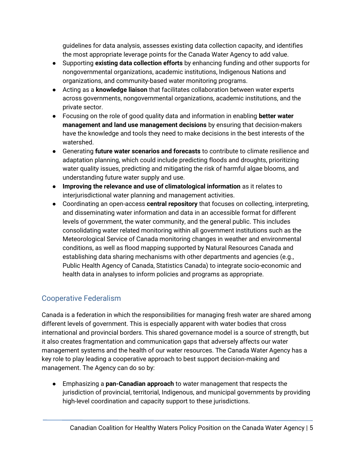guidelines for data analysis, assesses existing data collection capacity, and identifies the most appropriate leverage points for the Canada Water Agency to add value.

- Supporting **existing data collection efforts** by enhancing funding and other supports for nongovernmental organizations, academic institutions, Indigenous Nations and organizations, and community-based water monitoring programs.
- Acting as a **knowledge liaison** that facilitates collaboration between water experts across governments, nongovernmental organizations, academic institutions, and the private sector.
- Focusing on the role of good quality data and information in enabling **better water management and land use management decisions** by ensuring that decision-makers have the knowledge and tools they need to make decisions in the best interests of the watershed.
- Generating **future water scenarios and forecasts** to contribute to climate resilience and adaptation planning, which could include predicting floods and droughts, prioritizing water quality issues, predicting and mitigating the risk of harmful algae blooms, and understanding future water supply and use.
- **Improving the relevance and use of climatological information** as it relates to interjurisdictional water planning and management activities.
- Coordinating an open-access **central repository** that focuses on collecting, interpreting, and disseminating water information and data in an accessible format for different levels of government, the water community, and the general public. This includes consolidating water related monitoring within all government institutions such as the Meteorological Service of Canada monitoring changes in weather and environmental conditions, as well as flood mapping supported by Natural Resources Canada and establishing data sharing mechanisms with other departments and agencies (e.g., Public Health Agency of Canada, Statistics Canada) to integrate socio-economic and health data in analyses to inform policies and programs as appropriate.

## Cooperative Federalism

Canada is a federation in which the responsibilities for managing fresh water are shared among different levels of government. This is especially apparent with water bodies that cross international and provincial borders. This shared governance model is a source of strength, but it also creates fragmentation and communication gaps that adversely affects our water management systems and the health of our water resources. The Canada Water Agency has a key role to play leading a cooperative approach to best support decision-making and management. The Agency can do so by:

● Emphasizing a **pan-Canadian approach** to water management that respects the jurisdiction of provincial, territorial, Indigenous, and municipal governments by providing high-level coordination and capacity support to these jurisdictions.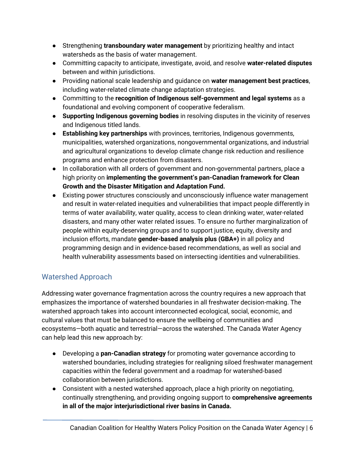- Strengthening **transboundary water management** by prioritizing healthy and intact watersheds as the basis of water management.
- Committing capacity to anticipate, investigate, avoid, and resolve **water-related disputes** between and within jurisdictions.
- Providing national scale leadership and guidance on **water management best practices**, including water-related climate change adaptation strategies.
- Committing to the **recognition of Indigenous self-government and legal systems** as a foundational and evolving component of cooperative federalism.
- **Supporting Indigenous governing bodies** in resolving disputes in the vicinity of reserves and Indigenous titled lands.
- **Establishing key partnerships** with provinces, territories, Indigenous governments, municipalities, watershed organizations, nongovernmental organizations, and industrial and agricultural organizations to develop climate change risk reduction and resilience programs and enhance protection from disasters.
- In collaboration with all orders of government and non-governmental partners, place a high priority on **implementing the government's pan-Canadian framework for Clean Growth and the Disaster Mitigation and Adaptation Fund.**
- Existing power structures consciously and unconsciously influence water management and result in water-related inequities and vulnerabilities that impact people differently in terms of water availability, water quality, access to clean drinking water, water-related disasters, and many other water related issues. To ensure no further marginalization of people within equity-deserving groups and to support justice, equity, diversity and inclusion efforts, mandate **gender-based analysis plus (GBA+)** in all policy and programming design and in evidence-based recommendations, as well as social and health vulnerability assessments based on intersecting identities and vulnerabilities.

## Watershed Approach

Addressing water governance fragmentation across the country requires a new approach that emphasizes the importance of watershed boundaries in all freshwater decision-making. The watershed approach takes into account interconnected ecological, social, economic, and cultural values that must be balanced to ensure the wellbeing of communities and ecosystems—both aquatic and terrestrial—across the watershed. The Canada Water Agency can help lead this new approach by:

- Developing a **pan-Canadian strategy** for promoting water governance according to watershed boundaries, including strategies for realigning siloed freshwater management capacities within the federal government and a roadmap for watershed-based collaboration between jurisdictions.
- Consistent with a nested watershed approach, place a high priority on negotiating, continually strengthening, and providing ongoing support to **comprehensive agreements in all of the major interjurisdictional river basins in Canada.**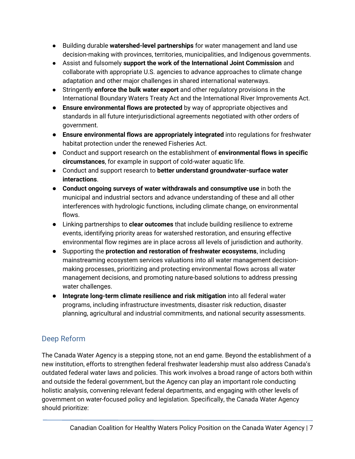- Building durable **watershed-level partnerships** for water management and land use decision-making with provinces, territories, municipalities, and Indigenous governments.
- Assist and fulsomely **support the work of the International Joint Commission** and collaborate with appropriate U.S. agencies to advance approaches to climate change adaptation and other major challenges in shared international waterways.
- Stringently **enforce the bulk water export** and other regulatory provisions in the International Boundary Waters Treaty Act and the International River Improvements Act.
- **Ensure environmental flows are protected** by way of appropriate objectives and standards in all future interjurisdictional agreements negotiated with other orders of government.
- **Ensure environmental flows are appropriately integrated** into regulations for freshwater habitat protection under the renewed Fisheries Act.
- Conduct and support research on the establishment of **environmental flows in specific circumstances**, for example in support of cold-water aquatic life.
- Conduct and support research to **better understand groundwater-surface water interactions**.
- **Conduct ongoing surveys of water withdrawals and consumptive use** in both the municipal and industrial sectors and advance understanding of these and all other interferences with hydrologic functions, including climate change, on environmental flows.
- Linking partnerships to **clear outcomes** that include building resilience to extreme events, identifying priority areas for watershed restoration, and ensuring effective environmental flow regimes are in place across all levels of jurisdiction and authority.
- Supporting the **protection and restoration of freshwater ecosystems**, including mainstreaming ecosystem services valuations into all water management decisionmaking processes, prioritizing and protecting environmental flows across all water management decisions, and promoting nature-based solutions to address pressing water challenges.
- **Integrate long-term climate resilience and risk mitigation** into all federal water programs, including infrastructure investments, disaster risk reduction, disaster planning, agricultural and industrial commitments, and national security assessments.

## Deep Reform

The Canada Water Agency is a stepping stone, not an end game. Beyond the establishment of a new institution, efforts to strengthen federal freshwater leadership must also address Canada's outdated federal water laws and policies. This work involves a broad range of actors both within and outside the federal government, but the Agency can play an important role conducting holistic analysis, convening relevant federal departments, and engaging with other levels of government on water-focused policy and legislation. Specifically, the Canada Water Agency should prioritize: